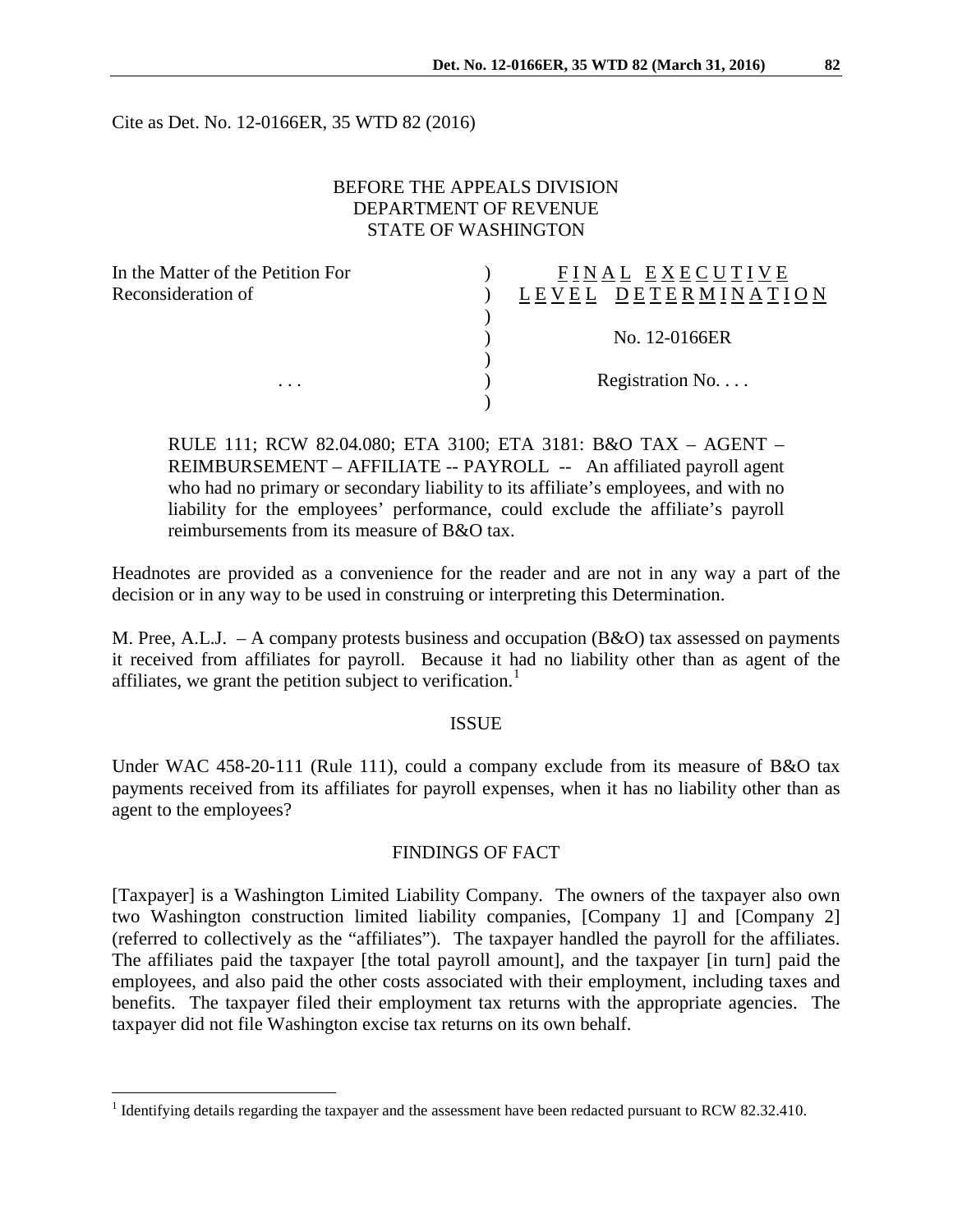Cite as Det. No. 12-0166ER, 35 WTD 82 (2016)

# BEFORE THE APPEALS DIVISION DEPARTMENT OF REVENUE STATE OF WASHINGTON

| FINAL EXECUTIVE          |
|--------------------------|
| DETERMINAT<br>LEVEL      |
|                          |
| No. 12-0166ER            |
|                          |
| Registration No. $\dots$ |
|                          |
|                          |

RULE 111; RCW 82.04.080; ETA 3100; ETA 3181: B&O TAX – AGENT – REIMBURSEMENT – AFFILIATE -- PAYROLL -- An affiliated payroll agent who had no primary or secondary liability to its affiliate's employees, and with no liability for the employees' performance, could exclude the affiliate's payroll reimbursements from its measure of B&O tax.

Headnotes are provided as a convenience for the reader and are not in any way a part of the decision or in any way to be used in construing or interpreting this Determination.

M. Pree, A.L.J.  $-$  A company protests business and occupation (B&O) tax assessed on payments it received from affiliates for payroll. Because it had no liability other than as agent of the affiliates, we grant the petition subject to verification.<sup>[1](#page-0-0)</sup>

#### ISSUE

Under WAC 458-20-111 (Rule 111), could a company exclude from its measure of B&O tax payments received from its affiliates for payroll expenses, when it has no liability other than as agent to the employees?

#### FINDINGS OF FACT

[Taxpayer] is a Washington Limited Liability Company. The owners of the taxpayer also own two Washington construction limited liability companies, [Company 1] and [Company 2] (referred to collectively as the "affiliates"). The taxpayer handled the payroll for the affiliates. The affiliates paid the taxpayer [the total payroll amount], and the taxpayer [in turn] paid the employees, and also paid the other costs associated with their employment, including taxes and benefits. The taxpayer filed their employment tax returns with the appropriate agencies. The taxpayer did not file Washington excise tax returns on its own behalf.

<span id="page-0-0"></span><sup>&</sup>lt;sup>1</sup> Identifying details regarding the taxpayer and the assessment have been redacted pursuant to RCW 82.32.410.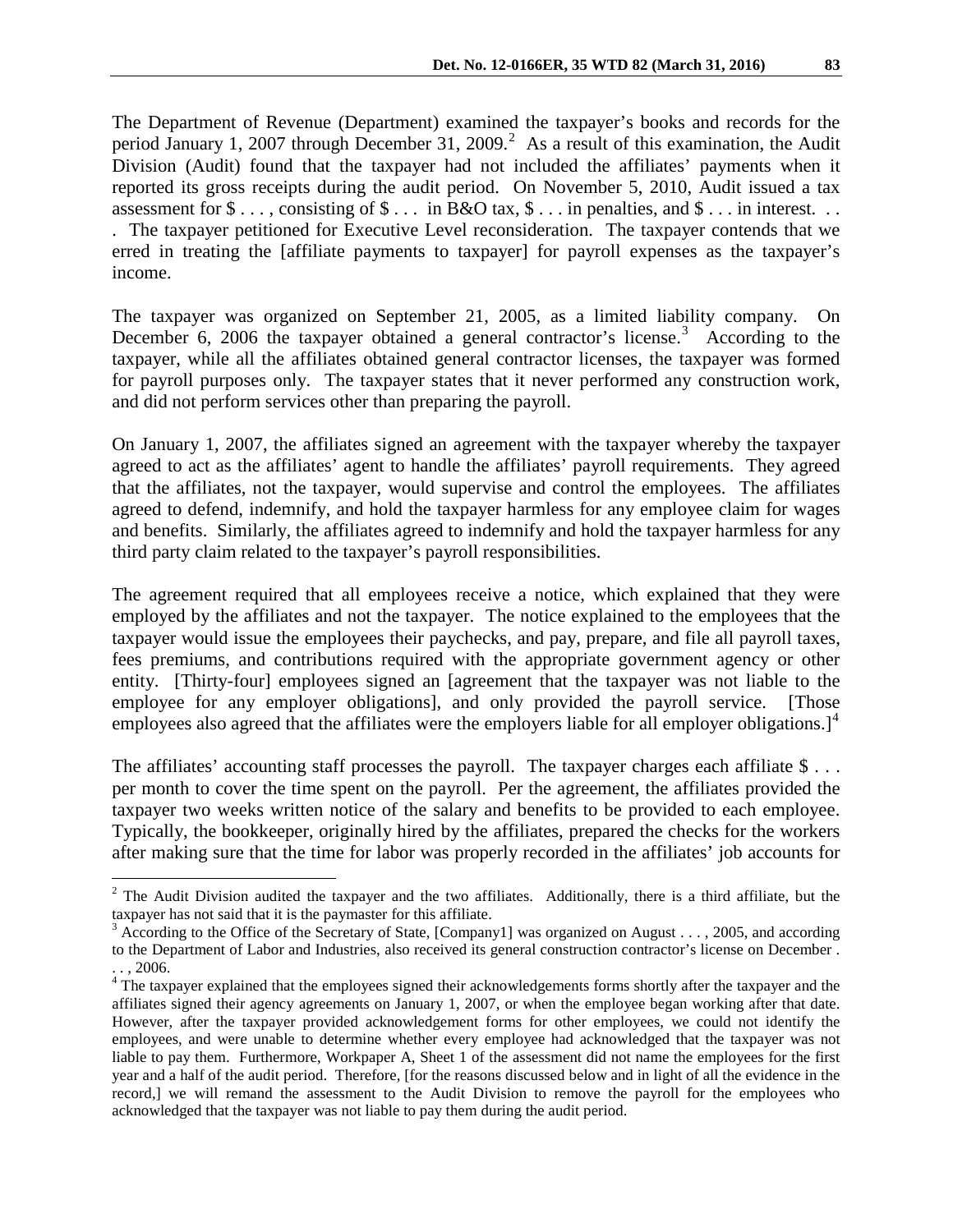The Department of Revenue (Department) examined the taxpayer's books and records for the period January 1, [2](#page-1-0)007 through December 31, 2009.<sup>2</sup> As a result of this examination, the Audit Division (Audit) found that the taxpayer had not included the affiliates' payments when it reported its gross receipts during the audit period. On November 5, 2010, Audit issued a tax assessment for  $\$\ldots$ , consisting of  $\$\ldots$  in B&O tax,  $\$\ldots$  in penalties, and  $\$\ldots$  in interest.  $\ldots$ . The taxpayer petitioned for Executive Level reconsideration. The taxpayer contends that we erred in treating the [affiliate payments to taxpayer] for payroll expenses as the taxpayer's income.

The taxpayer was organized on September 21, 2005, as a limited liability company. On December 6, 2006 the taxpayer obtained a general contractor's license.<sup>[3](#page-1-1)</sup> According to the taxpayer, while all the affiliates obtained general contractor licenses, the taxpayer was formed for payroll purposes only. The taxpayer states that it never performed any construction work, and did not perform services other than preparing the payroll.

On January 1, 2007, the affiliates signed an agreement with the taxpayer whereby the taxpayer agreed to act as the affiliates' agent to handle the affiliates' payroll requirements. They agreed that the affiliates, not the taxpayer, would supervise and control the employees. The affiliates agreed to defend, indemnify, and hold the taxpayer harmless for any employee claim for wages and benefits. Similarly, the affiliates agreed to indemnify and hold the taxpayer harmless for any third party claim related to the taxpayer's payroll responsibilities.

The agreement required that all employees receive a notice, which explained that they were employed by the affiliates and not the taxpayer. The notice explained to the employees that the taxpayer would issue the employees their paychecks, and pay, prepare, and file all payroll taxes, fees premiums, and contributions required with the appropriate government agency or other entity. [Thirty-four] employees signed an [agreement that the taxpayer was not liable to the employee for any employer obligations], and only provided the payroll service. [Those employees also agreed that the affiliates were the employers liable for all employer obligations.]<sup>[4](#page-1-2)</sup>

The affiliates' accounting staff processes the payroll. The taxpayer charges each affiliate \$... per month to cover the time spent on the payroll. Per the agreement, the affiliates provided the taxpayer two weeks written notice of the salary and benefits to be provided to each employee. Typically, the bookkeeper, originally hired by the affiliates, prepared the checks for the workers after making sure that the time for labor was properly recorded in the affiliates' job accounts for

<span id="page-1-0"></span> $2$  The Audit Division audited the taxpayer and the two affiliates. Additionally, there is a third affiliate, but the taxpayer has not said that it is the paymaster for this affiliate.

<span id="page-1-1"></span> $3$  According to the Office of the Secretary of State, [Company1] was organized on August . . . , 2005, and according to the Department of Labor and Industries, also received its general construction contractor's license on December .

<span id="page-1-2"></span><sup>. . , 2006. 4</sup> The taxpayer explained that the employees signed their acknowledgements forms shortly after the taxpayer and the affiliates signed their agency agreements on January 1, 2007, or when the employee began working after that date. However, after the taxpayer provided acknowledgement forms for other employees, we could not identify the employees, and were unable to determine whether every employee had acknowledged that the taxpayer was not liable to pay them. Furthermore, Workpaper A, Sheet 1 of the assessment did not name the employees for the first year and a half of the audit period. Therefore, [for the reasons discussed below and in light of all the evidence in the record,] we will remand the assessment to the Audit Division to remove the payroll for the employees who acknowledged that the taxpayer was not liable to pay them during the audit period.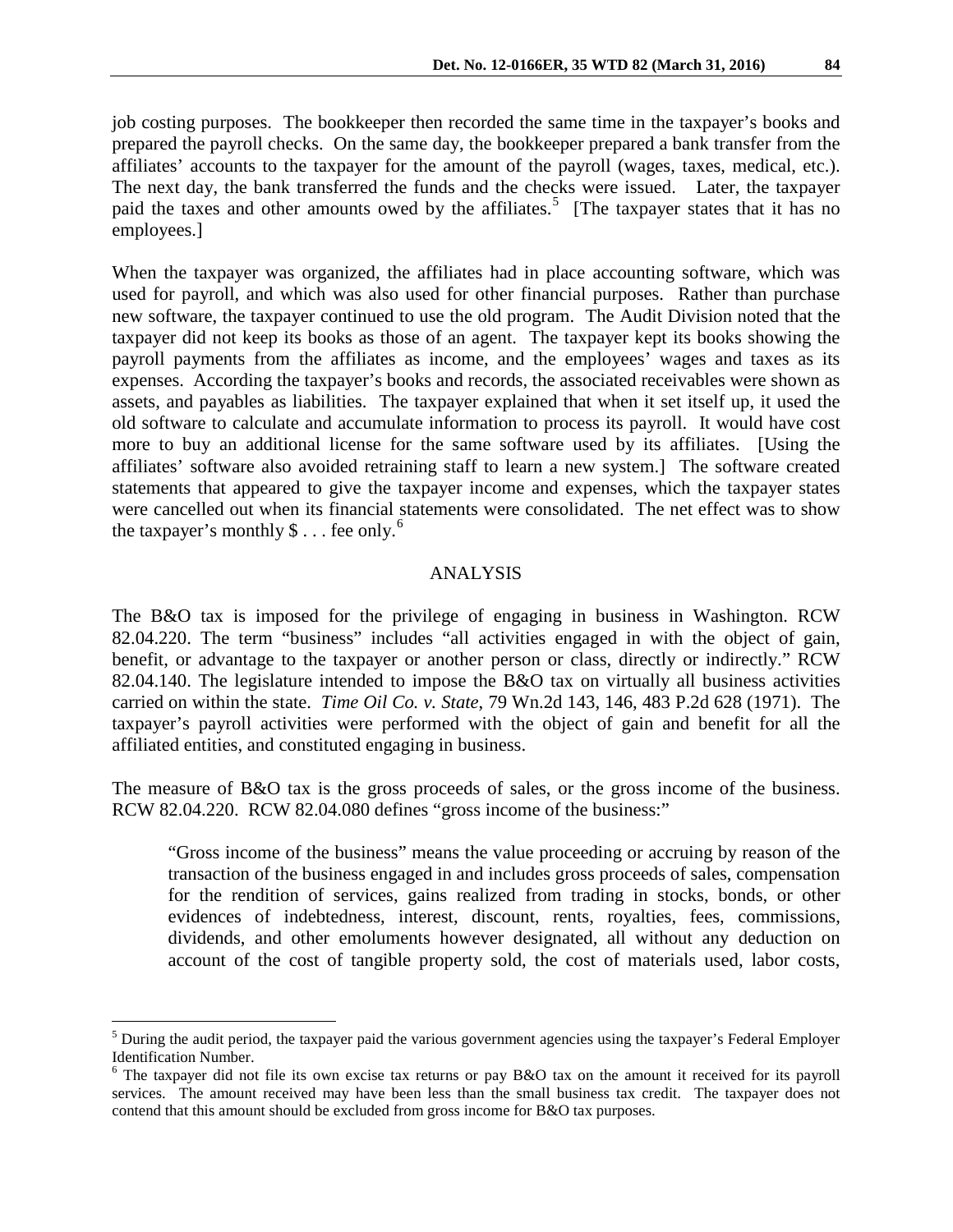job costing purposes. The bookkeeper then recorded the same time in the taxpayer's books and prepared the payroll checks. On the same day, the bookkeeper prepared a bank transfer from the affiliates' accounts to the taxpayer for the amount of the payroll (wages, taxes, medical, etc.). The next day, the bank transferred the funds and the checks were issued. Later, the taxpayer paid the taxes and other amounts owed by the affiliates.<sup>[5](#page-2-0)</sup> [The taxpayer states that it has no employees.]

When the taxpayer was organized, the affiliates had in place accounting software, which was used for payroll, and which was also used for other financial purposes. Rather than purchase new software, the taxpayer continued to use the old program. The Audit Division noted that the taxpayer did not keep its books as those of an agent. The taxpayer kept its books showing the payroll payments from the affiliates as income, and the employees' wages and taxes as its expenses. According the taxpayer's books and records, the associated receivables were shown as assets, and payables as liabilities. The taxpayer explained that when it set itself up, it used the old software to calculate and accumulate information to process its payroll. It would have cost more to buy an additional license for the same software used by its affiliates. [Using the affiliates' software also avoided retraining staff to learn a new system.] The software created statements that appeared to give the taxpayer income and expenses, which the taxpayer states were cancelled out when its financial statements were consolidated. The net effect was to show the taxpayer's monthly  $\$\dots$  fee only.<sup>[6](#page-2-1)</sup>

### ANALYSIS

The B&O tax is imposed for the privilege of engaging in business in Washington. RCW 82.04.220. The term "business" includes "all activities engaged in with the object of gain, benefit, or advantage to the taxpayer or another person or class, directly or indirectly." RCW 82.04.140. The legislature intended to impose the B&O tax on virtually all business activities carried on within the state. *Time Oil Co. v. State*, 79 Wn.2d 143, 146, 483 P.2d 628 (1971). The taxpayer's payroll activities were performed with the object of gain and benefit for all the affiliated entities, and constituted engaging in business.

The measure of B&O tax is the gross proceeds of sales, or the gross income of the business. RCW 82.04.220. RCW 82.04.080 defines "gross income of the business:"

"Gross income of the business" means the value proceeding or accruing by reason of the transaction of the business engaged in and includes gross proceeds of sales, compensation for the rendition of services, gains realized from trading in stocks, bonds, or other evidences of indebtedness, interest, discount, rents, royalties, fees, commissions, dividends, and other emoluments however designated, all without any deduction on account of the cost of tangible property sold, the cost of materials used, labor costs,

<span id="page-2-0"></span><sup>&</sup>lt;sup>5</sup> During the audit period, the taxpayer paid the various government agencies using the taxpayer's Federal Employer Identification Number.

<span id="page-2-1"></span><sup>&</sup>lt;sup>6</sup> The taxpayer did not file its own excise tax returns or pay B&O tax on the amount it received for its payroll services. The amount received may have been less than the small business tax credit. The taxpayer does not contend that this amount should be excluded from gross income for B&O tax purposes.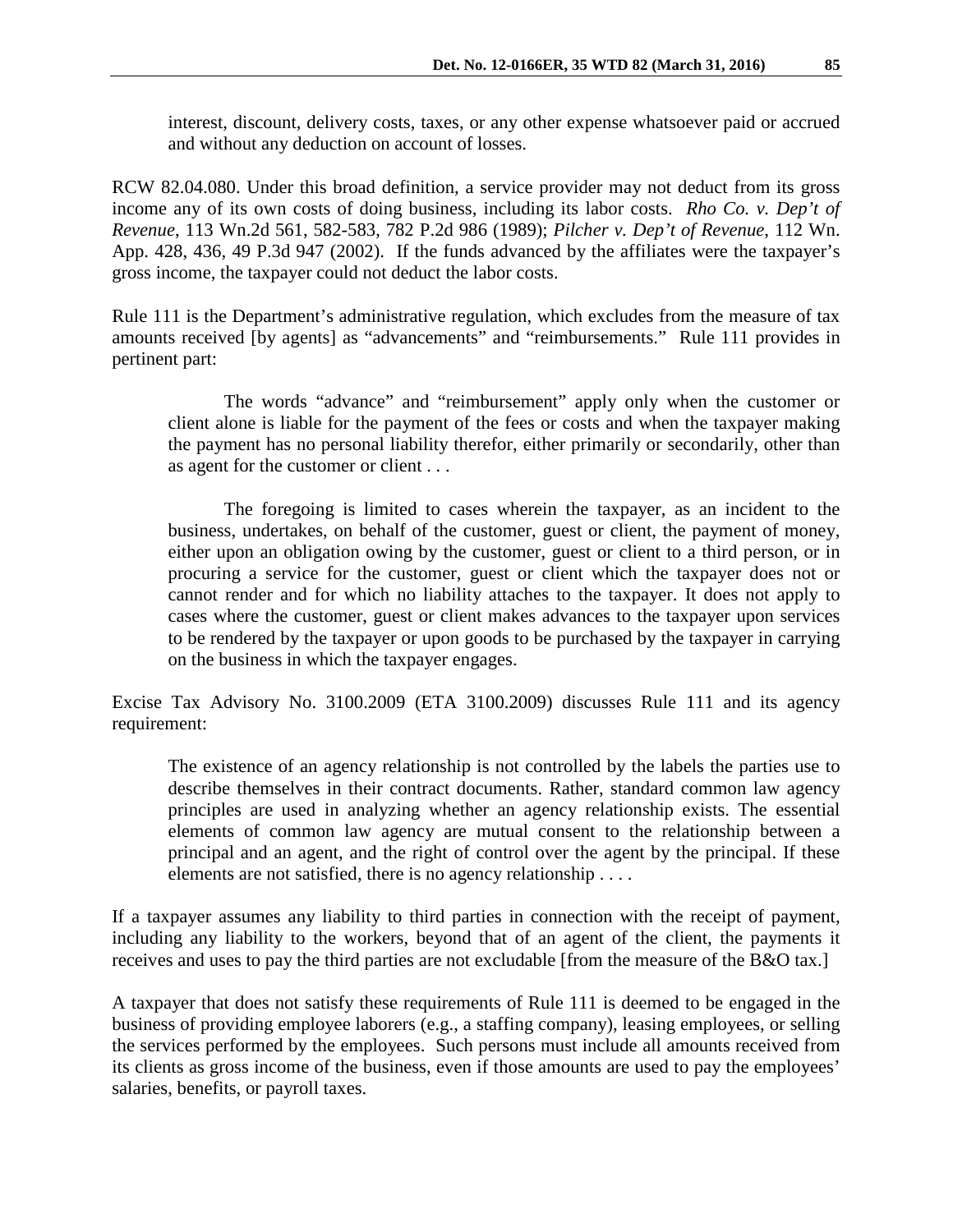interest, discount, delivery costs, taxes, or any other expense whatsoever paid or accrued and without any deduction on account of losses.

RCW 82.04.080. Under this broad definition, a service provider may not deduct from its gross income any of its own costs of doing business, including its labor costs. *Rho Co. v. Dep't of Revenue*, 113 Wn.2d 561, 582-583, 782 P.2d 986 (1989); *Pilcher v. Dep't of Revenue*, 112 Wn. App. 428, 436, 49 P.3d 947 (2002). If the funds advanced by the affiliates were the taxpayer's gross income, the taxpayer could not deduct the labor costs.

Rule 111 is the Department's administrative regulation, which excludes from the measure of tax amounts received [by agents] as "advancements" and "reimbursements." Rule 111 provides in pertinent part:

 The words "advance" and "reimbursement" apply only when the customer or client alone is liable for the payment of the fees or costs and when the taxpayer making the payment has no personal liability therefor, either primarily or secondarily, other than as agent for the customer or client . . .

 The foregoing is limited to cases wherein the taxpayer, as an incident to the business, undertakes, on behalf of the customer, guest or client, the payment of money, either upon an obligation owing by the customer, guest or client to a third person, or in procuring a service for the customer, guest or client which the taxpayer does not or cannot render and for which no liability attaches to the taxpayer. It does not apply to cases where the customer, guest or client makes advances to the taxpayer upon services to be rendered by the taxpayer or upon goods to be purchased by the taxpayer in carrying on the business in which the taxpayer engages.

Excise Tax Advisory No. 3100.2009 (ETA 3100.2009) discusses Rule 111 and its agency requirement:

The existence of an agency relationship is not controlled by the labels the parties use to describe themselves in their contract documents. Rather, standard common law agency principles are used in analyzing whether an agency relationship exists. The essential elements of common law agency are mutual consent to the relationship between a principal and an agent, and the right of control over the agent by the principal. If these elements are not satisfied, there is no agency relationship . . . .

If a taxpayer assumes any liability to third parties in connection with the receipt of payment, including any liability to the workers, beyond that of an agent of the client, the payments it receives and uses to pay the third parties are not excludable [from the measure of the B&O tax.]

A taxpayer that does not satisfy these requirements of Rule 111 is deemed to be engaged in the business of providing employee laborers (e.g., a staffing company), leasing employees, or selling the services performed by the employees. Such persons must include all amounts received from its clients as gross income of the business, even if those amounts are used to pay the employees' salaries, benefits, or payroll taxes.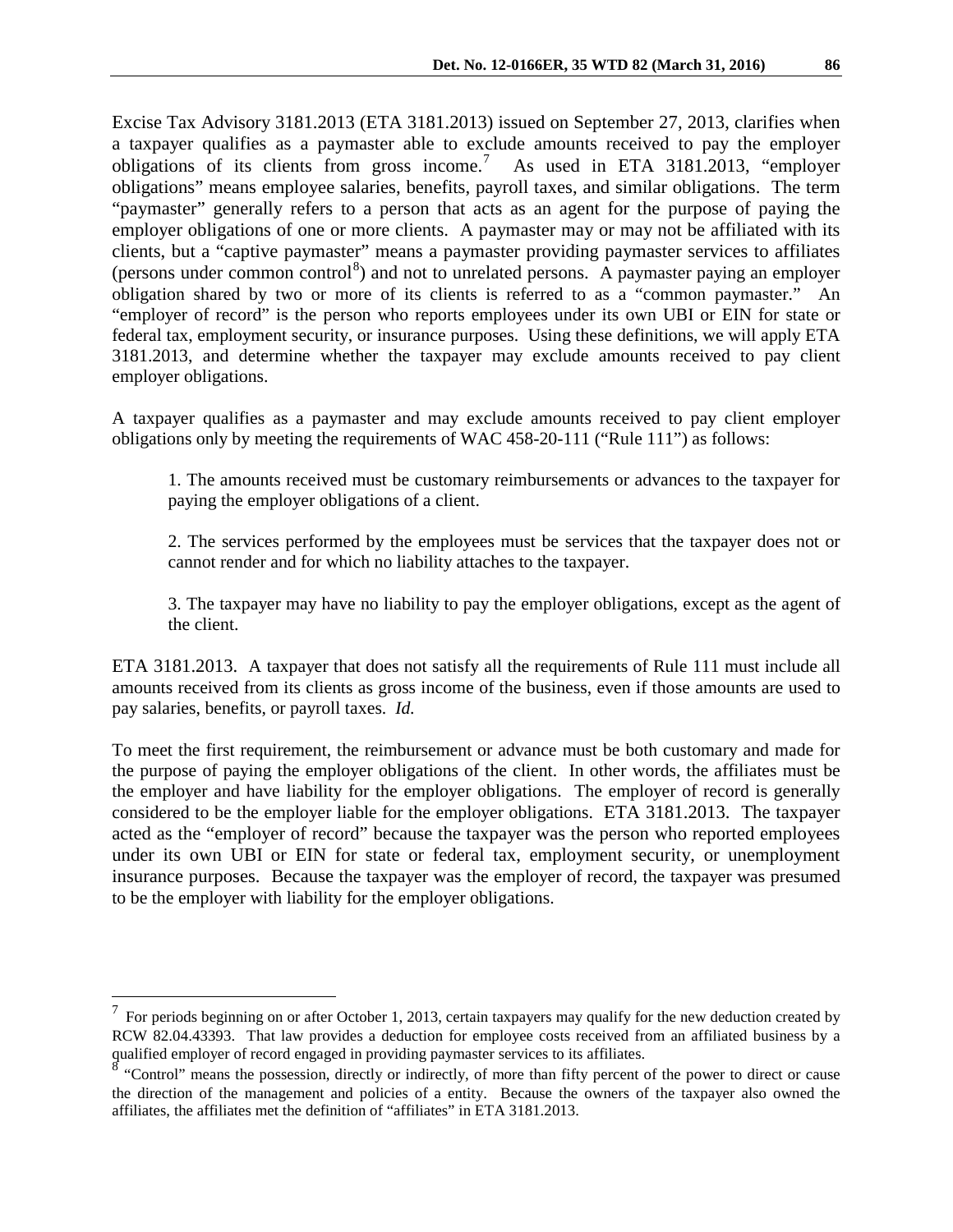Excise Tax Advisory 3181.2013 (ETA 3181.2013) issued on September 27, 2013, clarifies when a taxpayer qualifies as a paymaster able to exclude amounts received to pay the employer obligations of its clients from gross income.[7](#page-4-0) As used in ETA 3181.2013, "employer obligations" means employee salaries, benefits, payroll taxes, and similar obligations. The term "paymaster" generally refers to a person that acts as an agent for the purpose of paying the employer obligations of one or more clients. A paymaster may or may not be affiliated with its clients, but a "captive paymaster" means a paymaster providing paymaster services to affiliates (persons under common control<sup>[8](#page-4-1)</sup>) and not to unrelated persons. A paymaster paying an employer obligation shared by two or more of its clients is referred to as a "common paymaster." An "employer of record" is the person who reports employees under its own UBI or EIN for state or federal tax, employment security, or insurance purposes. Using these definitions, we will apply ETA 3181.2013, and determine whether the taxpayer may exclude amounts received to pay client employer obligations.

A taxpayer qualifies as a paymaster and may exclude amounts received to pay client employer obligations only by meeting the requirements of WAC 458-20-111 ("Rule 111") as follows:

1. The amounts received must be customary reimbursements or advances to the taxpayer for paying the employer obligations of a client.

2. The services performed by the employees must be services that the taxpayer does not or cannot render and for which no liability attaches to the taxpayer.

3. The taxpayer may have no liability to pay the employer obligations, except as the agent of the client.

ETA 3181.2013. A taxpayer that does not satisfy all the requirements of Rule 111 must include all amounts received from its clients as gross income of the business, even if those amounts are used to pay salaries, benefits, or payroll taxes. *Id.*

To meet the first requirement, the reimbursement or advance must be both customary and made for the purpose of paying the employer obligations of the client. In other words, the affiliates must be the employer and have liability for the employer obligations. The employer of record is generally considered to be the employer liable for the employer obligations. ETA 3181.2013. The taxpayer acted as the "employer of record" because the taxpayer was the person who reported employees under its own UBI or EIN for state or federal tax, employment security, or unemployment insurance purposes. Because the taxpayer was the employer of record, the taxpayer was presumed to be the employer with liability for the employer obligations.

<span id="page-4-0"></span> $<sup>7</sup>$  For periods beginning on or after October 1, 2013, certain taxpayers may qualify for the new deduction created by</sup> RCW 82.04.43393. That law provides a deduction for employee costs received from an affiliated business by a qualified employer of record engaged in providing paymaster services to its affiliates.

<span id="page-4-1"></span> $\frac{8}{8}$  "Control" means the possession, directly or indirectly, of more than fifty percent of the power to direct or cause the direction of the management and policies of a entity. Because the owners of the taxpayer also owned the affiliates, the affiliates met the definition of "affiliates" in ETA 3181.2013.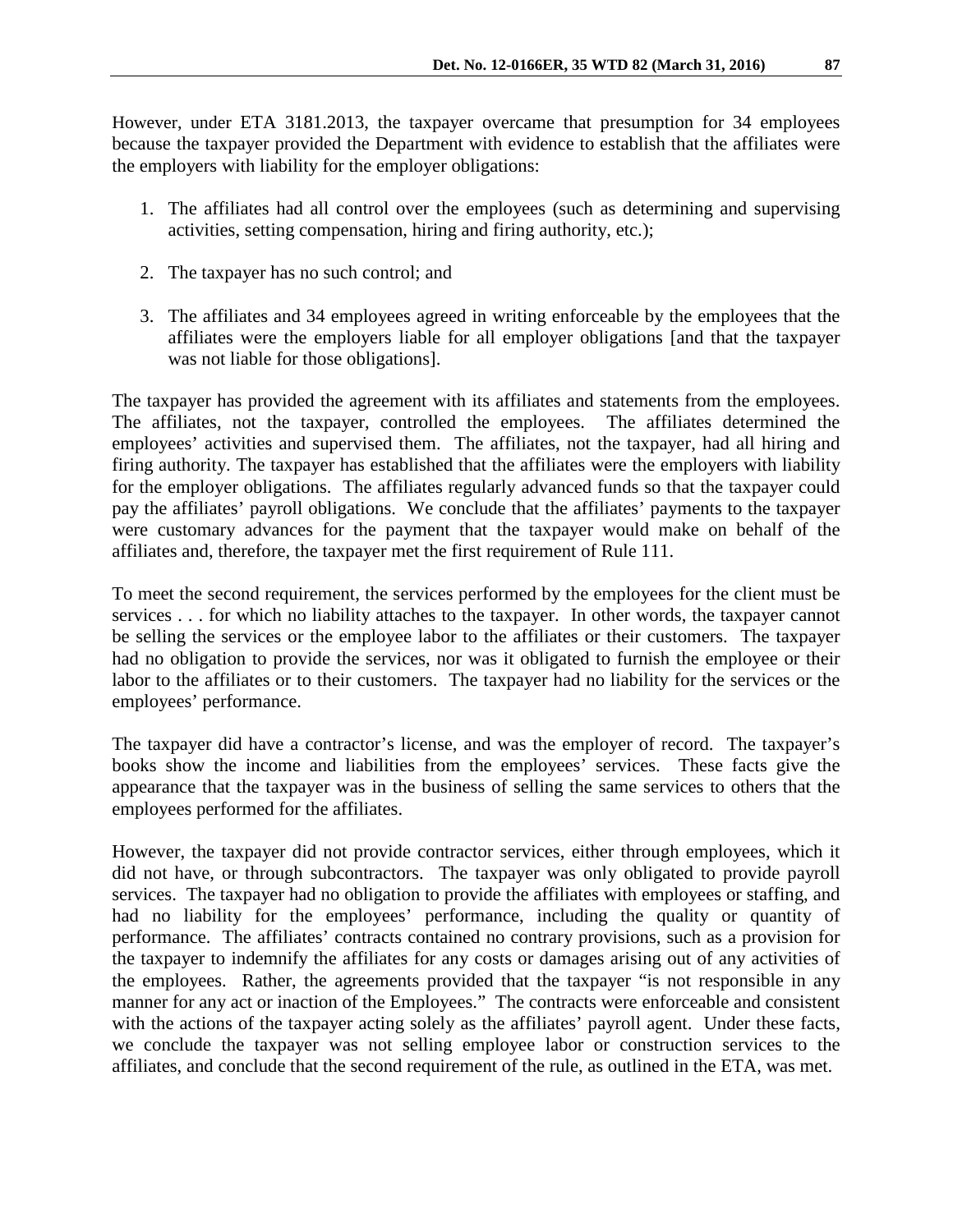However, under ETA 3181.2013, the taxpayer overcame that presumption for 34 employees because the taxpayer provided the Department with evidence to establish that the affiliates were the employers with liability for the employer obligations:

- 1. The affiliates had all control over the employees (such as determining and supervising activities, setting compensation, hiring and firing authority, etc.);
- 2. The taxpayer has no such control; and
- 3. The affiliates and 34 employees agreed in writing enforceable by the employees that the affiliates were the employers liable for all employer obligations [and that the taxpayer was not liable for those obligations].

The taxpayer has provided the agreement with its affiliates and statements from the employees. The affiliates, not the taxpayer, controlled the employees. The affiliates determined the employees' activities and supervised them. The affiliates, not the taxpayer, had all hiring and firing authority. The taxpayer has established that the affiliates were the employers with liability for the employer obligations. The affiliates regularly advanced funds so that the taxpayer could pay the affiliates' payroll obligations. We conclude that the affiliates' payments to the taxpayer were customary advances for the payment that the taxpayer would make on behalf of the affiliates and, therefore, the taxpayer met the first requirement of Rule 111.

To meet the second requirement, the services performed by the employees for the client must be services . . . for which no liability attaches to the taxpayer. In other words, the taxpayer cannot be selling the services or the employee labor to the affiliates or their customers. The taxpayer had no obligation to provide the services, nor was it obligated to furnish the employee or their labor to the affiliates or to their customers. The taxpayer had no liability for the services or the employees' performance.

The taxpayer did have a contractor's license, and was the employer of record. The taxpayer's books show the income and liabilities from the employees' services. These facts give the appearance that the taxpayer was in the business of selling the same services to others that the employees performed for the affiliates.

However, the taxpayer did not provide contractor services, either through employees, which it did not have, or through subcontractors. The taxpayer was only obligated to provide payroll services. The taxpayer had no obligation to provide the affiliates with employees or staffing, and had no liability for the employees' performance, including the quality or quantity of performance. The affiliates' contracts contained no contrary provisions, such as a provision for the taxpayer to indemnify the affiliates for any costs or damages arising out of any activities of the employees. Rather, the agreements provided that the taxpayer "is not responsible in any manner for any act or inaction of the Employees." The contracts were enforceable and consistent with the actions of the taxpayer acting solely as the affiliates' payroll agent. Under these facts, we conclude the taxpayer was not selling employee labor or construction services to the affiliates, and conclude that the second requirement of the rule, as outlined in the ETA, was met.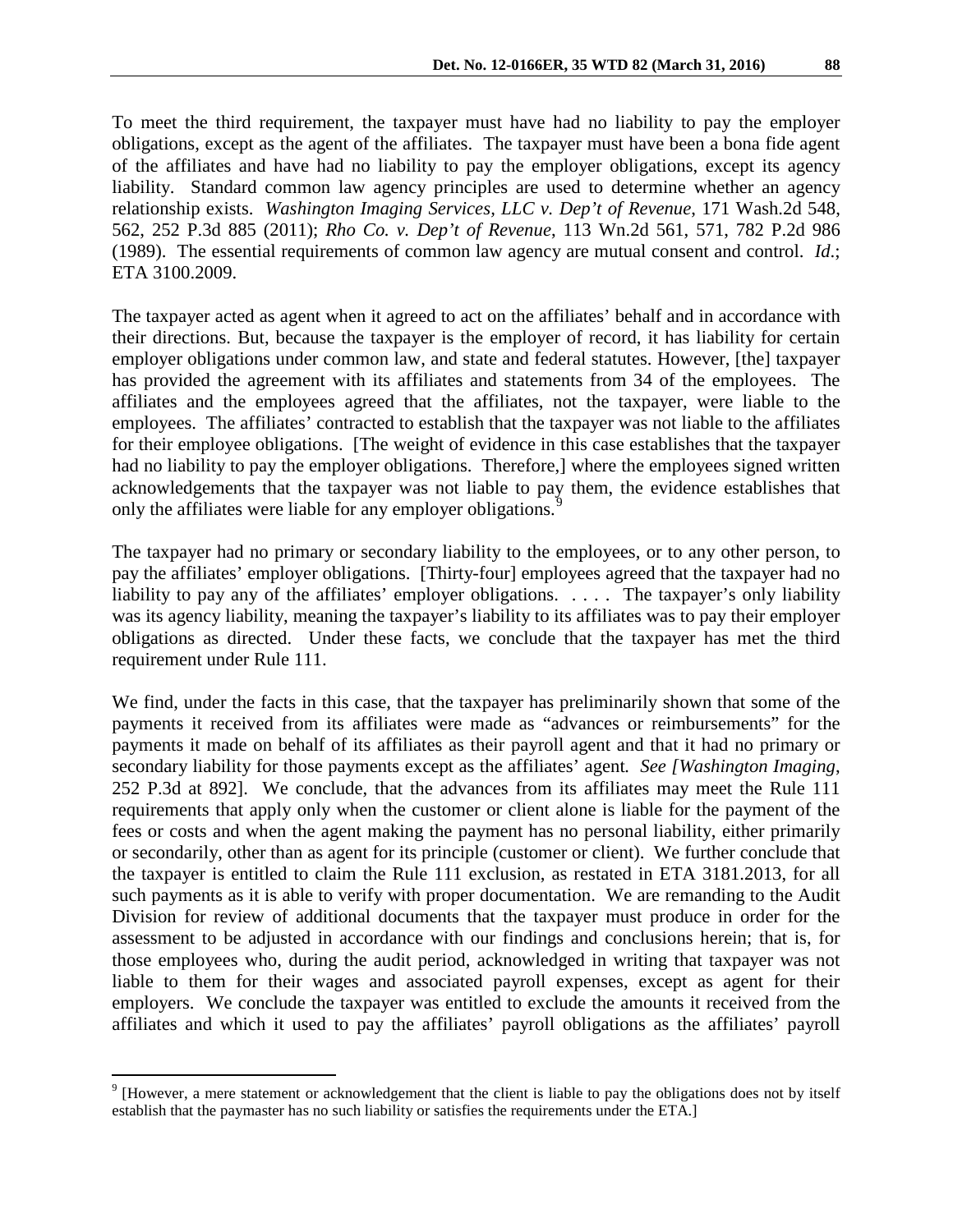To meet the third requirement, the taxpayer must have had no liability to pay the employer obligations, except as the agent of the affiliates. The taxpayer must have been a bona fide agent of the affiliates and have had no liability to pay the employer obligations, except its agency liability. Standard common law agency principles are used to determine whether an agency relationship exists. *Washington Imaging Services, LLC v. Dep't of Revenue*, 171 Wash.2d 548, 562, 252 P.3d 885 (2011); *Rho Co. v. Dep't of Revenue*, 113 Wn.2d 561, 571, 782 P.2d 986 (1989). The essential requirements of common law agency are mutual consent and control. *Id*.; ETA 3100.2009.

The taxpayer acted as agent when it agreed to act on the affiliates' behalf and in accordance with their directions. But, because the taxpayer is the employer of record, it has liability for certain employer obligations under common law, and state and federal statutes. However, [the] taxpayer has provided the agreement with its affiliates and statements from 34 of the employees. The affiliates and the employees agreed that the affiliates, not the taxpayer, were liable to the employees. The affiliates' contracted to establish that the taxpayer was not liable to the affiliates for their employee obligations. [The weight of evidence in this case establishes that the taxpayer had no liability to pay the employer obligations. Therefore,] where the employees signed written acknowledgements that the taxpayer was not liable to pay them, the evidence establishes that only the affiliates were liable for any employer obligations.<sup>[9](#page-6-0)</sup>

The taxpayer had no primary or secondary liability to the employees, or to any other person, to pay the affiliates' employer obligations. [Thirty-four] employees agreed that the taxpayer had no liability to pay any of the affiliates' employer obligations. . . . . The taxpayer's only liability was its agency liability, meaning the taxpayer's liability to its affiliates was to pay their employer obligations as directed. Under these facts, we conclude that the taxpayer has met the third requirement under Rule 111.

We find, under the facts in this case, that the taxpayer has preliminarily shown that some of the payments it received from its affiliates were made as "advances or reimbursements" for the payments it made on behalf of its affiliates as their payroll agent and that it had no primary or secondary liability for those payments except as the affiliates' agent*. See [Washington Imaging*, 252 P.3d at 892]. We conclude, that the advances from its affiliates may meet the Rule 111 requirements that apply only when the customer or client alone is liable for the payment of the fees or costs and when the agent making the payment has no personal liability, either primarily or secondarily, other than as agent for its principle (customer or client). We further conclude that the taxpayer is entitled to claim the Rule 111 exclusion, as restated in ETA 3181.2013, for all such payments as it is able to verify with proper documentation. We are remanding to the Audit Division for review of additional documents that the taxpayer must produce in order for the assessment to be adjusted in accordance with our findings and conclusions herein; that is, for those employees who, during the audit period, acknowledged in writing that taxpayer was not liable to them for their wages and associated payroll expenses, except as agent for their employers. We conclude the taxpayer was entitled to exclude the amounts it received from the affiliates and which it used to pay the affiliates' payroll obligations as the affiliates' payroll

<span id="page-6-0"></span><sup>&</sup>lt;sup>9</sup> [However, a mere statement or acknowledgement that the client is liable to pay the obligations does not by itself establish that the paymaster has no such liability or satisfies the requirements under the ETA.]